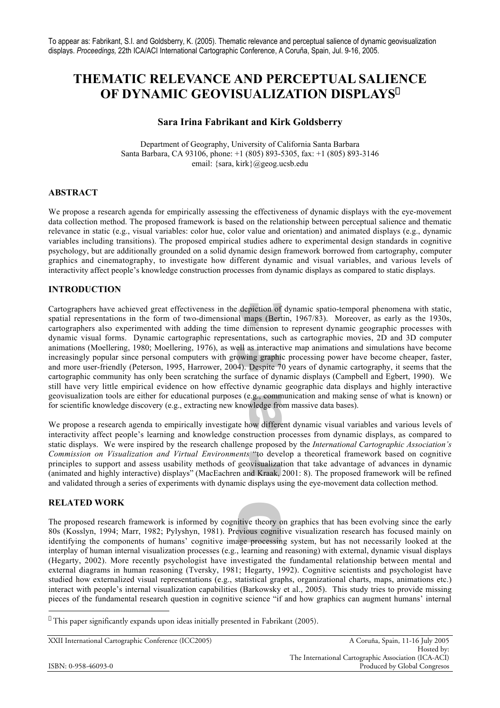# **THEMATIC RELEVANCE AND PERCEPTUAL SALIENCE OF DYNAMIC GEOVISUALIZATION DISPLAYS**\*

# **Sara Irina Fabrikant and Kirk Goldsberry**

Department of Geography, University of California Santa Barbara Santa Barbara, CA 93106, phone: +1 (805) 893-5305, fax: +1 (805) 893-3146 email: {sara, kirk}@geog.ucsb.edu

# **ABSTRACT**

We propose a research agenda for empirically assessing the effectiveness of dynamic displays with the eye-movement data collection method. The proposed framework is based on the relationship between perceptual salience and thematic relevance in static (e.g., visual variables: color hue, color value and orientation) and animated displays (e.g., dynamic variables including transitions). The proposed empirical studies adhere to experimental design standards in cognitive psychology, but are additionally grounded on a solid dynamic design framework borrowed from cartography, computer graphics and cinematography, to investigate how different dynamic and visual variables, and various levels of interactivity affect people's knowledge construction processes from dynamic displays as compared to static displays.

# **INTRODUCTION**

e.g., comn<br>wledge frc<br>ow differe animations (Moeffering, 1980; Moeffering, 1976), as well as interactive map animations and simulations nave become<br>increasingly popular since personal computers with growing graphic processing power have become cheaper, fa cartographic community has only been scratching the surface of dynamic displays (Campbell and Egbert, 1990). We Cartographers have achieved great effectiveness in the depiction of dynamic spatio-temporal phenomena with static, spatial representations in the form of two-dimensional maps (Bertin, 1967/83). Moreover, as early as the 19 cartographers also experimented with adding the time dimension to represent dynamic geographic processes with spatial representations in the form of two-dimensional maps (Bertin, 1967/83). Moreover, as early as the 1930s, dynamic visual forms. Dynamic cartographic representations, such as cartographic movies, 2D and 3D computer animations (Moellering, 1980; Moellering, 1976), as well as interactive map animations and simulations have become and more user-friendly (Peterson, 1995, Harrower, 2004). Despite 70 years of dynamic cartography, it seems that the still have very little empirical evidence on how effective dynamic geographic data displays and highly interactive geovisualization tools are either for educational purposes (e.g., communication and making sense of what is known) or for scientific knowledge discovery (e.g., extracting new knowledge from massive data bases).

' "to deve<br>visualiza<br>id Kraak. and validated through a series of experiments with dynamic displays using the eye-movement data collection method. interactivity affect people's learning and knowledge construction processes from dynamic displays, as compared to We propose a research agenda to empirically investigate how different dynamic visual variables and various levels of static displays. We were inspired by the research challenge proposed by the *International Cartographic Association's Commission on Visualization and Virtual Environments* "to develop a theoretical framework based on cognitive principles to support and assess usability methods of geovisualization that take advantage of advances in dynamic (animated and highly interactive) displays" (MacEachren and Kraak, 2001: 8). The proposed framework will be refined

## **RELATED WORK**

itive theory<br>exious cognit interplay of human internal visualization processes (e.g., learning and reasoning) with external, dynamic visual displays The proposed research framework is informed by cognitive theory on graphics that has been evolving since the early 80s (Kosslyn, 1994; Marr, 1982; Pylyshyn, 1981). Previous cognitive visualization research has focused mainly on identifying the components of humans' cognitive image processing system, but has not necessarily looked at the (Hegarty, 2002). More recently psychologist have investigated the fundamental relationship between mental and external diagrams in human reasoning (Tversky, 1981; Hegarty, 1992). Cognitive scientists and psychologist have studied how externalized visual representations (e.g., statistical graphs, organizational charts, maps, animations etc.) interact with people's internal visualization capabilities (Barkowsky et al., 2005). This study tries to provide missing pieces of the fundamental research question in cognitive science "if and how graphics can augment humans' internal

 $\overline{a}$ \* This paper significantly expands upon ideas initially presented in Fabrikant (2005).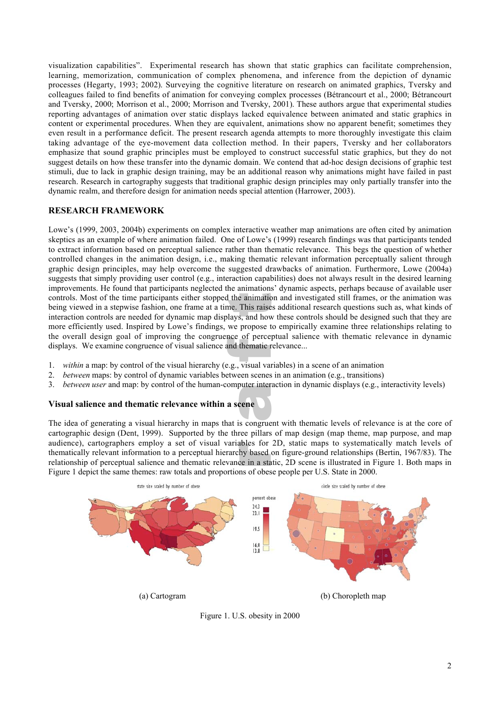visualization capabilities". Experimental research has shown that static graphics can facilitate comprehension, learning, memorization, communication of complex phenomena, and inference from the depiction of dynamic processes (Hegarty, 1993; 2002). Surveying the cognitive literature on research on animated graphics, Tversky and colleagues failed to find benefits of animation for conveying complex processes (Bétrancourt et al., 2000; Bétrancourt and Tversky, 2000; Morrison et al., 2000; Morrison and Tversky, 2001). These authors argue that experimental studies reporting advantages of animation over static displays lacked equivalence between animated and static graphics in content or experimental procedures. When they are equivalent, animations show no apparent benefit; sometimes they even result in a performance deficit. The present research agenda attempts to more thoroughly investigate this claim taking advantage of the eye-movement data collection method. In their papers, Tversky and her collaborators emphasize that sound graphic principles must be employed to construct successful static graphics, but they do not suggest details on how these transfer into the dynamic domain. We contend that ad-hoc design decisions of graphic test stimuli, due to lack in graphic design training, may be an additional reason why animations might have failed in past research. Research in cartography suggests that traditional graphic design principles may only partially transfer into the dynamic realm, and therefore design for animation needs special attention (Harrower, 2003).

## **RESEARCH FRAMEWORK**

flue overall design goal of improving the congruence of perceptual salies displays. We examine congruence of visual salience and thematic relevance... the controls. Most of the time participants either stopped the animation and investigated still frames, or the animation was<br>being viewed in a stepwise fashion, one frame at a time. This raises additional research question interaction controls are needed for dynamic map displays, and how these controls should be designed such that they are Lowe's (1999, 2003, 2004b) experiments on complex interactive weather map animations are often cited by animation skeptics as an example of where animation failed. One of Lowe's (1999) research findings was that participants tended to extract information based on perceptual salience rather than thematic relevance. This begs the question of whether controlled changes in the animation design, i.e., making thematic relevant information perceptually salient through graphic design principles, may help overcome the suggested drawbacks of animation. Furthermore, Lowe (2004a) suggests that simply providing user control (e.g., interaction capabilities) does not always result in the desired learning improvements. He found that participants neglected the animations' dynamic aspects, perhaps because of available user controls. Most of the time participants either stopped the animation and investigated still frames, or the animation was more efficiently used. Inspired by Lowe's findings, we propose to empirically examine three relationships relating to the overall design goal of improving the congruence of perceptual salience with thematic relevance in dynamic

- 1. *within* a map: by control of the visual hierarchy (e.g., visual variables) in a scene of an animation
- 2. *between* maps: by control of dynamic variables between scenes in an animation (e.g., transitions)
- ene 3. *between user* and map: by control of the human-computer interaction in dynamic displays (e.g., interactivity levels)

## **Visual salience and thematic relevance within a scene**

ables for<br>hy based<br>ce in a sta Figure 1 depict the same themes: raw totals and proportions of obese people per U.S. State in 2000. The idea of generating a visual hierarchy in maps that is congruent with thematic levels of relevance is at the core of cartographic design (Dent, 1999). Supported by the three pillars of map design (map theme, map purpose, and map audience), cartographers employ a set of visual variables for 2D, static maps to systematically match levels of thematically relevant information to a perceptual hierarchy based on figure-ground relationships (Bertin, 1967/83). The relationship of perceptual salience and thematic relevance in a static, 2D scene is illustrated in Figure 1. Both maps in



Figure 1. U.S. obesity in 2000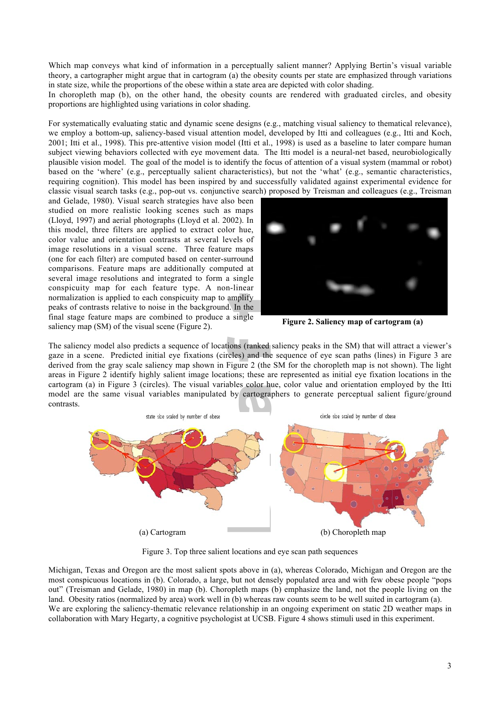Which map conveys what kind of information in a perceptually salient manner? Applying Bertin's visual variable theory, a cartographer might argue that in cartogram (a) the obesity counts per state are emphasized through variations in state size, while the proportions of the obese within a state area are depicted with color shading.

In choropleth map (b), on the other hand, the obesity counts are rendered with graduated circles, and obesity proportions are highlighted using variations in color shading.

For systematically evaluating static and dynamic scene designs (e.g., matching visual saliency to thematical relevance), we employ a bottom-up, saliency-based visual attention model, developed by Itti and colleagues (e.g., Itti and Koch, 2001; Itti et al., 1998). This pre-attentive vision model (Itti et al., 1998) is used as a baseline to later compare human subject viewing behaviors collected with eye movement data. The Itti model is a neural-net based, neurobiologically plausible vision model. The goal of the model is to identify the focus of attention of a visual system (mammal or robot) based on the 'where' (e.g., perceptually salient characteristics), but not the 'what' (e.g., semantic characteristics, requiring cognition). This model has been inspired by and successfully validated against experimental evidence for classic visual search tasks (e.g., pop-out vs. conjunctive search) proposed by Treisman and colleagues (e.g., Treisman

normalization is applied to each conspicuity map to amplify<br>peaks of contrasts relative to noise in the background. In the<br>final atom feature mans are combined to produce a single and Gelade, 1980). Visual search strategies have also been studied on more realistic looking scenes such as maps (Lloyd, 1997) and aerial photographs (Lloyd et al. 2002). In this model, three filters are applied to extract color hue, color value and orientation contrasts at several levels of image resolutions in a visual scene. Three feature maps (one for each filter) are computed based on center-surround comparisons. Feature maps are additionally computed at several image resolutions and integrated to form a single conspicuity map for each feature type. A non-linear normalization is applied to each conspicuity map to amplify final stage feature maps are combined to produce a single saliency map (SM) of the visual scene (Figure 2).



**Figure 2. Saliency map of cartogram (a)**

cartogram (a) in Figure 3 (circles). The visual variables color nue, color value and orientation employed by the itility model are the same visual variables manipulated by cartographers to generate perceptual salient figur The saliency model also predicts a sequence of locations (ranked saliency peaks in the SM) that will attract a viewer's gaze in a scene. Predicted initial eye fixations (circles) and the sequence of eye scan paths (lines) derived from the gray scale saliency map shown in Figure 2 (the SM for the choropleth map is not shown). The light gaze in a scene. Predicted initial eye fixations (circles) and the sequence of eye scan paths (lines) in Figure 3 are areas in Figure 2 identify highly salient image locations; these are represented as initial eye fixation locations in the cartogram (a) in Figure 3 (circles). The visual variables color hue, color value and orientation employed by the Itti contrasts.



Figure 3. Top three salient locations and eye scan path sequences

Michigan, Texas and Oregon are the most salient spots above in (a), whereas Colorado, Michigan and Oregon are the most conspicuous locations in (b). Colorado, a large, but not densely populated area and with few obese people "pops out" (Treisman and Gelade, 1980) in map (b). Choropleth maps (b) emphasize the land, not the people living on the land. Obesity ratios (normalized by area) work well in (b) whereas raw counts seem to be well suited in cartogram (a). We are exploring the saliency-thematic relevance relationship in an ongoing experiment on static 2D weather maps in collaboration with Mary Hegarty, a cognitive psychologist at UCSB. Figure 4 shows stimuli used in this experiment.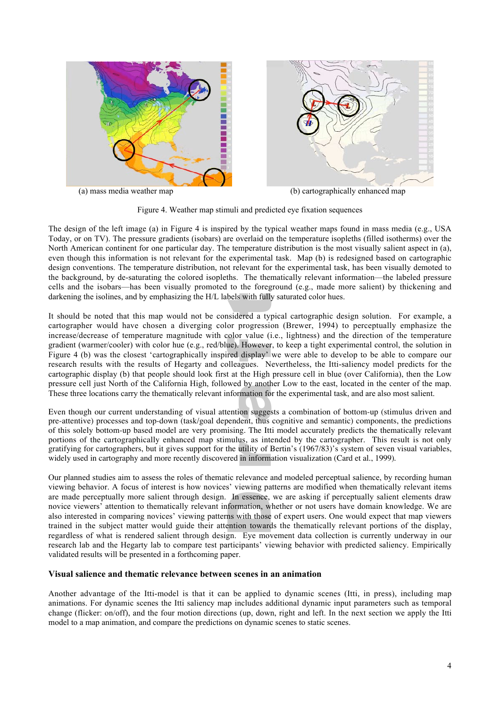



(a) mass media weather map (b) cartographically enhanced map

Figure 4. Weather map stimuli and predicted eye fixation sequences

darkening the isolines, and by emphasizing the H/L labels with fully saturated color hues.<br>It should be noted that this man would not be considered a typical cartographic de-The design of the left image (a) in Figure 4 is inspired by the typical weather maps found in mass media (e.g., USA Today, or on TV). The pressure gradients (isobars) are overlaid on the temperature isopleths (filled isotherms) over the North American continent for one particular day. The temperature distribution is the most visually salient aspect in (a), even though this information is not relevant for the experimental task. Map (b) is redesigned based on cartographic design conventions. The temperature distribution, not relevant for the experimental task, has been visually demoted to the background, by de-saturating the colored isopleths. The thematically relevant information—the labeled pressure cells and the isobars—has been visually promoted to the foreground (e.g., made more salient) by thickening and

financies accrease of temperature magnitude with eclor value (i.e., inguitess) and the direction of the temperature<br>gradient (warmer/cooler) with color hue (e.g., red/blue). However, to keep a tight experimental control, t research results with the results of Hegarty and colleagues. Nevertheless, the Itti-saliency model predicts for the It should be noted that this map would not be considered a typical cartographic design solution. For example, a cartographer would have chosen a diverging color progression (Brewer, 1994) to perceptually emphasize the increase/decrease of temperature magnitude with color value (i.e., lightness) and the direction of the temperature Figure 4 (b) was the closest 'cartographically inspired display' we were able to develop to be able to compare our cartographic display (b) that people should look first at the High pressure cell in blue (over California), then the Low pressure cell just North of the California High, followed by another Low to the east, located in the center of the map. These three locations carry the thematically relevant information for the experimental task, and are also most salient.

performs of the cartographers, but it gives support for the utility of Bertin's (1967/83)'s system of seven visual variables, widely used in cartography and more recently discovered in information visualization (Card et al These three locations carry the thematically relevant information for the experimental task, and are also most salient.<br>Even though our current understanding of visual attention suggests a combination of bottom-up (stimulu pre-attentive) processes and top-down (task/goal dependent, thus cognitive and semantic) components, the predictions of this solely bottom-up based model are very promising. The Itti model accurately predicts the thematically relevant portions of the cartographically enhanced map stimulus, as intended by the cartographer. This result is not only widely used in cartography and more recently discovered in information visualization (Card et al., 1999).

are made perceptually more salient through design. In essence, we are asking if perceptually salient elements draw<br>novice viewers' attention to thematically relevant information, whether or not users have domain knowledge. regardless of what is rendered salient through design. Eye movement data collection is currently underway in our Our planned studies aim to assess the roles of thematic relevance and modeled perceptual salience, by recording human viewing behavior. A focus of interest is how novices' viewing patterns are modified when thematically relevant items novice viewers' attention to thematically relevant information, whether or not users have domain knowledge. We are also interested in comparing novices' viewing patterns with those of expert users. One would expect that map viewers trained in the subject matter would guide their attention towards the thematically relevant portions of the display, research lab and the Hegarty lab to compare test participants' viewing behavior with predicted saliency. Empirically validated results will be presented in a forthcoming paper.

## **Visual salience and thematic relevance between scenes in an animation**

Another advantage of the Itti-model is that it can be applied to dynamic scenes (Itti, in press), including map animations. For dynamic scenes the Itti saliency map includes additional dynamic input parameters such as temporal change (flicker: on/off), and the four motion directions (up, down, right and left. In the next section we apply the Itti model to a map animation, and compare the predictions on dynamic scenes to static scenes.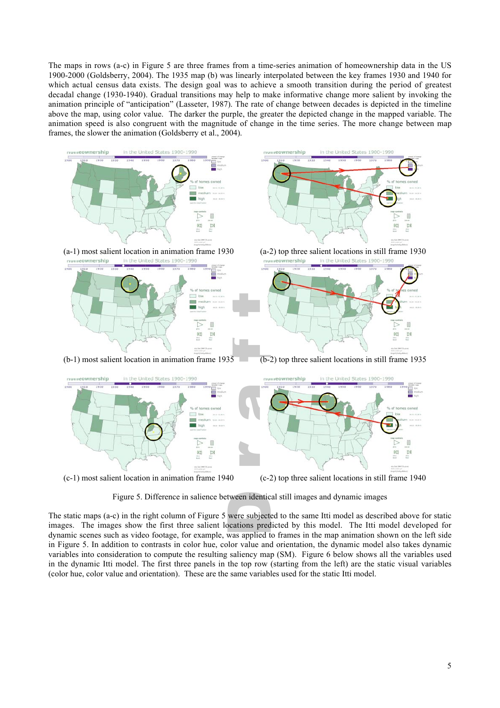The maps in rows (a-c) in Figure 5 are three frames from a time-series animation of homeownership data in the US 1900-2000 (Goldsberry, 2004). The 1935 map (b) was linearly interpolated between the key frames 1930 and 1940 for which actual census data exists. The design goal was to achieve a smooth transition during the period of greatest decadal change (1930-1940). Gradual transitions may help to make informative change more salient by invoking the animation principle of "anticipation" (Lasseter, 1987). The rate of change between decades is depicted in the timeline above the map, using color value. The darker the purple, the greater the depicted change in the mapped variable. The animation speed is also congruent with the magnitude of change in the time series. The more change between map frames, the slower the animation (Goldsberry et al., 2004).



Figure 5. Difference in salience between identical still images and dynamic images

tween identic<br>were subject<br>ocations pred dynamic scenes such as video footage, for example, was applied to frames in the map animation shown on the left side The static maps (a-c) in the right column of Figure 5 were subjected to the same Itti model as described above for static images. The images show the first three salient locations predicted by this model. The Itti model developed for in Figure 5. In addition to contrasts in color hue, color value and orientation, the dynamic model also takes dynamic variables into consideration to compute the resulting saliency map (SM). Figure 6 below shows all the variables used in the dynamic Itti model. The first three panels in the top row (starting from the left) are the static visual variables (color hue, color value and orientation). These are the same variables used for the static Itti model.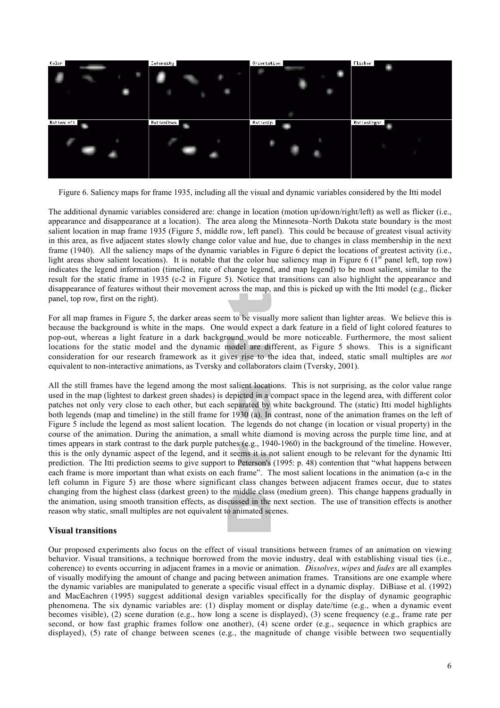

Figure 6. Saliency maps for frame 1935, including all the visual and dynamic variables considered by the Itti model

panel, top row, first on the right).<br>For all map frames in Figure 5, the darker areas seem to be visually more salient than lighter areas. We believe this is The additional dynamic variables considered are: change in location (motion up/down/right/left) as well as flicker (i.e., appearance and disappearance at a location). The area along the Minnesota–North Dakota state boundary is the most salient location in map frame 1935 (Figure 5, middle row, left panel). This could be because of greatest visual activity in this area, as five adjacent states slowly change color value and hue, due to changes in class membership in the next frame (1940). All the saliency maps of the dynamic variables in Figure 6 depict the locations of greatest activity (i.e., light areas show salient locations). It is notable that the color hue saliency map in Figure 6 ( $1<sup>st</sup>$  panel left, top row) indicates the legend information (timeline, rate of change legend, and map legend) to be most salient, similar to the result for the static frame in 1935 (c-2 in Figure 5). Notice that transitions can also highlight the appearance and disappearance of features without their movement across the map, and this is picked up with the Itti model (e.g., flicker panel, top row, first on the right).

pop-out, whereas a fight feature in a dark background would be more noticeable. Furthermore, the most saffer<br>locations for the static model and the dynamic model are different, as Figure 5 shows. This is a significant<br>cons equivalent to non-interactive animations, as Tversky and collaborators claim (Tversky, 2001). because the background is white in the maps. One would expect a dark feature in a field of light colored features to pop-out, whereas a light feature in a dark background would be more noticeable. Furthermore, the most salient locations for the static model and the dynamic model are different, as Figure 5 shows. This is a significant

Enarging from the highest class (darkest green) to the middle class (including green). This change happens graduary in<br>the animation, using smooth transition effects, as discussed in the next section. The use of transition r (e.g., 194<br>ems it is r<br>Peterson's each frame is more important than what exists on each frame". The most salient locations in the animation (a-c in the rent locati<br>cted in a<br>arated by<br>30 (a). In Figure 5 include the legend as most salient location. The legends do not change (in location or visual property) in the All the still frames have the legend among the most salient locations. This is not surprising, as the color value range used in the map (lightest to darkest green shades) is depicted in a compact space in the legend area, with different color patches not only very close to each other, but each separated by white background. The (static) Itti model highlights both legends (map and timeline) in the still frame for 1930 (a). In contrast, none of the animation frames on the left of course of the animation. During the animation, a small white diamond is moving across the purple time line, and at times appears in stark contrast to the dark purple patches (e.g., 1940-1960) in the background of the timeline. However, this is the only dynamic aspect of the legend, and it seems it is not salient enough to be relevant for the dynamic Itti prediction. The Itti prediction seems to give support to Peterson's (1995: p. 48) contention that "what happens between left column in Figure 5) are those where significant class changes between adjacent frames occur, due to states changing from the highest class (darkest green) to the middle class (medium green). This change happens gradually in reason why static, small multiples are not equivalent to animated scenes.

## **Visual transitions**

Our proposed experiments also focus on the effect of visual transitions between frames of an animation on viewing behavior. Visual transitions, a technique borrowed from the movie industry, deal with establishing visual ties (i.e., coherence) to events occurring in adjacent frames in a movie or animation. *Dissolves*, *wipes* and *fades* are all examples of visually modifying the amount of change and pacing between animation frames. Transitions are one example where the dynamic variables are manipulated to generate a specific visual effect in a dynamic display. DiBiase et al. (1992) and MacEachren (1995) suggest additional design variables specifically for the display of dynamic geographic phenomena. The six dynamic variables are: (1) display moment or display date/time (e.g., when a dynamic event becomes visible), (2) scene duration (e.g., how long a scene is displayed), (3) scene frequency (e.g., frame rate per second, or how fast graphic frames follow one another), (4) scene order (e.g., sequence in which graphics are displayed), (5) rate of change between scenes (e.g., the magnitude of change visible between two sequentially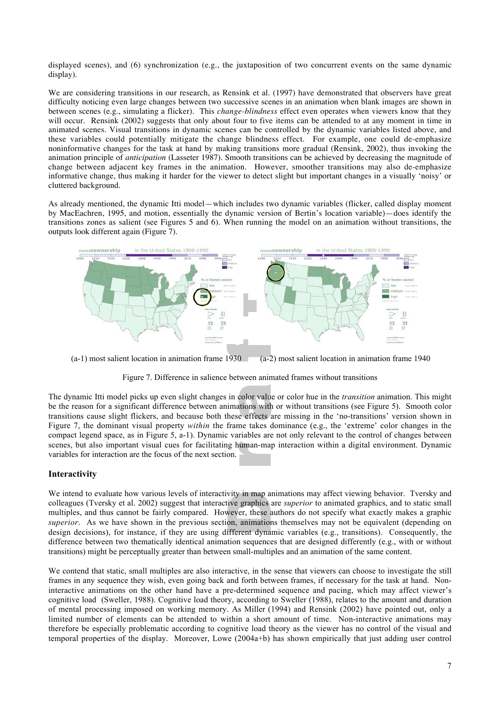displayed scenes), and (6) synchronization (e.g., the juxtaposition of two concurrent events on the same dynamic display).

We are considering transitions in our research, as Rensink et al. (1997) have demonstrated that observers have great difficulty noticing even large changes between two successive scenes in an animation when blank images are shown in between scenes (e.g., simulating a flicker). This *change-blindness* effect even operates when viewers know that they will occur. Rensink (2002) suggests that only about four to five items can be attended to at any moment in time in animated scenes. Visual transitions in dynamic scenes can be controlled by the dynamic variables listed above, and these variables could potentially mitigate the change blindness effect. For example, one could de-emphasize noninformative changes for the task at hand by making transitions more gradual (Rensink, 2002), thus invoking the animation principle of *anticipation* (Lasseter 1987). Smooth transitions can be achieved by decreasing the magnitude of change between adjacent key frames in the animation. However, smoother transitions may also de-emphasize informative change, thus making it harder for the viewer to detect slight but important changes in a visually 'noisy' or cluttered background.

As already mentioned, the dynamic Itti model—which includes two dynamic variables (flicker, called display moment by MacEachren, 1995, and motion, essentially the dynamic version of Bertin's location variable)—does identify the transitions zones as salient (see Figures 5 and 6). When running the model on an animation without transitions, the outputs look different again (Figure 7).





scenes, but also important visual cues for facilitating human-map interaction within a digital environment. Dynamic variables for interaction are the focus of the next section. The dynamic Itti model picks up even slight changes in color value or color hue in the *transition* animation. This might be the reason for a significant difference between animations with or without transitions (see Figur Figure 7, the dominant visual property *within* the frame takes dominance (e.g., the 'extreme' color changes in the The dynamic Itti model picks up even slight changes in color value or color hue in the *transition* animation. This might be the reason for a significant difference between animations with or without transitions (see Figure 5). Smooth color compact legend space, as in Figure 5, a-1). Dynamic variables are not only relevant to the control of changes between variables for interaction are the focus of the next section.

## **Interactivity**

we intend to evaluate how various levels of interactivity in map animations may affect viewing behavior. I versky and<br>colleagues (Tversky et al. 2002) suggest that interactive graphics are *superior* to animated graphics, difference between two thematically identical animation sequences that are designed differently (e.g., with or without We intend to evaluate how various levels of interactivity in map animations may affect viewing behavior. Tversky and colleagues (Tversky et al. 2002) suggest that interactive graphics are *superior* to animated graphics, and to static small multiples, and thus cannot be fairly compared. However, these authors do not specify what exactly makes a graphic design decisions), for instance, if they are using different dynamic variables (e.g., transitions). Consequently, the transitions) might be perceptually greater than between small-multiples and an animation of the same content.

We contend that static, small multiples are also interactive, in the sense that viewers can choose to investigate the still frames in any sequence they wish, even going back and forth between frames, if necessary for the task at hand. Noninteractive animations on the other hand have a pre-determined sequence and pacing, which may affect viewer's cognitive load (Sweller, 1988). Cognitive load theory, according to Sweller (1988), relates to the amount and duration of mental processing imposed on working memory. As Miller (1994) and Rensink (2002) have pointed out, only a limited number of elements can be attended to within a short amount of time. Non-interactive animations may therefore be especially problematic according to cognitive load theory as the viewer has no control of the visual and temporal properties of the display. Moreover, Lowe (2004a+b) has shown empirically that just adding user control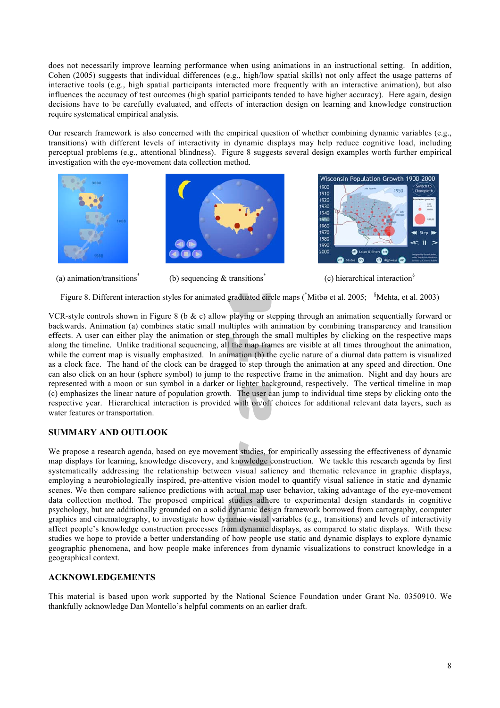does not necessarily improve learning performance when using animations in an instructional setting. In addition, Cohen (2005) suggests that individual differences (e.g., high/low spatial skills) not only affect the usage patterns of interactive tools (e.g., high spatial participants interacted more frequently with an interactive animation), but also influences the accuracy of test outcomes (high spatial participants tended to have higher accuracy). Here again, design decisions have to be carefully evaluated, and effects of interaction design on learning and knowledge construction require systematical empirical analysis.

Our research framework is also concerned with the empirical question of whether combining dynamic variables (e.g., transitions) with different levels of interactivity in dynamic displays may help reduce cognitive load, including perceptual problems (e.g., attentional blindness). Figure 8 suggests several design examples worth further empirical investigation with the eye-movement data collection method.







(a) animation/transitions<sup>\*</sup> (b) sequencing  $\&$  transitions<sup>\*</sup> (c) hierarchical interaction<sup>§</sup>

Figure 8. Different interaction styles for animated graduated circle maps (\*Mitbø et al. 2005; <sup>§</sup>Mehta, et al. 2003)<br>Pestyle controls shown in Figure 8 (b. *8*: a) allow playing at stepping through an animation sequential

(c) emphasizes the linear nature of population growth. The user can jump to individual time steps by clicking onto the respective year. Hierarchical interaction is provided with on/off choices for additional relevant data falong the timeline. Unlike traditional sequencing, all the map frames are visible at all times throughout the animation, while the current map is visually emphasized. In animation (b) the cyclic nature of a diurnal data p as a clock face. The hand of the clock can be dragged to step through the animation at any speed and direction. One VCR-style controls shown in Figure 8 (b  $\&$  c) allow playing or stepping through an animation sequentially forward or backwards. Animation (a) combines static small multiples with animation by combining transparency and transition effects. A user can either play the animation or step through the small multiples by clicking on the respective maps while the current map is visually emphasized. In animation (b) the cyclic nature of a diurnal data pattern is visualized can also click on an hour (sphere symbol) to jump to the respective frame in the animation. Night and day hours are represented with a moon or sun symbol in a darker or lighter background, respectively. The vertical timeline in map respective year. Hierarchical interaction is provided with on/off choices for additional relevant data layers, such as water features or transportation.

## **SUMMARY AND OUTLOOK**

Betale in the template surfact preference with detail inspected container, along detailing of the eye incremental data collection method. The proposed empirical studies adhere to experimental design standards in cognitive studies we hope to provide a better understanding of how people use static and dynamic displays to explore dynamic We propose a research agenda, based on eye movement studies, for empirically assessing the effectiveness of dynamic<br>map displays for learning, knowledge discovery, and knowledge construction. We tackle this research agenda systematically addressing the relationship between visual saliency and thematic relevance in graphic displays, map displays for learning, knowledge discovery, and knowledge construction. We tackle this research agenda by first employing a neurobiologically inspired, pre-attentive vision model to quantify visual salience in static and dynamic scenes. We then compare salience predictions with actual map user behavior, taking advantage of the eye-movement psychology, but are additionally grounded on a solid dynamic design framework borrowed from cartography, computer graphics and cinematography, to investigate how dynamic visual variables (e.g., transitions) and levels of interactivity affect people's knowledge construction processes from dynamic displays, as compared to static displays. With these geographic phenomena, and how people make inferences from dynamic visualizations to construct knowledge in a geographical context.

## **ACKNOWLEDGEMENTS**

This material is based upon work supported by the National Science Foundation under Grant No. 0350910. We thankfully acknowledge Dan Montello's helpful comments on an earlier draft.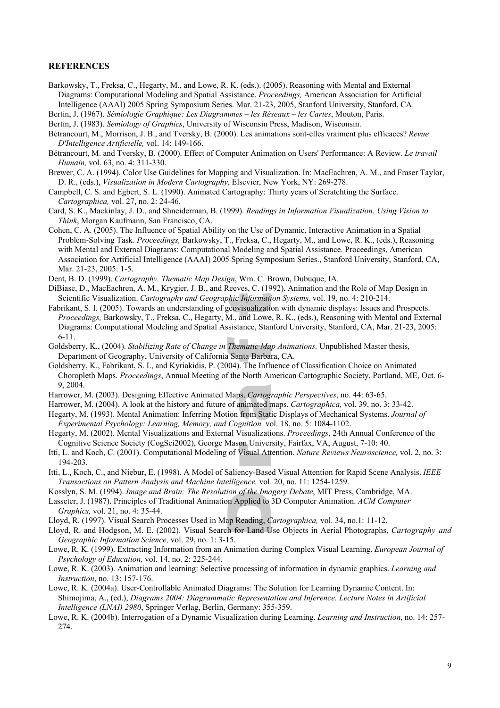#### **REFERENCES**

- Barkowsky, T., Freksa, C., Hegarty, M., and Lowe, R. K. (eds.). (2005). Reasoning with Mental and External Diagrams: Computational Modeling and Spatial Assistance. *Proceedings,* American Association for Artificial Intelligence (AAAI) 2005 Spring Symposium Series. Mar. 21-23, 2005, Stanford University, Stanford, CA.
- Bertin, J. (1967). *Sémiologie Graphique: Les Diagrammes les Réseaux les Cartes*, Mouton, Paris.
- Bertin, J. (1983). *Semiology of Graphics*, University of Wisconsin Press, Madison, Wisconsin.
- Bétrancourt, M., Morrison, J. B., and Tversky, B. (2000). Les animations sont-elles vraiment plus efficaces? *Revue D'Intelligence Artificielle,* vol. 14: 149-166.
- Bétrancourt, M. and Tversky, B. (2000). Effect of Computer Animation on Users' Performance: A Review. *Le travail Humain,* vol. 63, no. 4: 311-330.
- Brewer, C. A. (1994). Color Use Guidelines for Mapping and Visualization. In: MacEachren, A. M., and Fraser Taylor, D. R., (eds.), *Visualization in Modern Cartography*, Elsevier, New York, NY: 269-278.
- Campbell, C. S. and Egbert, S. L. (1990). Animated Cartography: Thirty years of Scratchting the Surface. *Cartographica,* vol. 27, no. 2: 24-46.
- Card, S. K., Mackinlay, J. D., and Shneiderman, B. (1999). *Readings in Information Visualization. Using Vision to Think*, Morgan Kaufmann, San Francisco, CA.
- Cohen, C. A. (2005). The Influence of Spatial Ability on the Use of Dynamic, Interactive Animation in a Spatial Problem-Solving Task. *Proceedings,* Barkowsky, T., Freksa, C., Hegarty, M., and Lowe, R. K., (eds.), Reasoning with Mental and External Diagrams: Computational Modeling and Spatial Assistance. Proceedings, American Association for Artificial Intelligence (AAAI) 2005 Spring Symposium Series., Stanford University, Stanford, CA, Mar. 21-23, 2005: 1-5.
- Dent, B. D. (1999). *Cartography. Thematic Map Design*, Wm. C. Brown, Dubuque, IA.
- DiBiase, D., MacEachren, A. M., Krygier, J. B., and Reeves, C. (1992). Animation and the Role of Map Design in Scientific Visualization. *Cartography and Geographic Information Systems,* vol. 19, no. 4: 210-214.
- Scientific Visualization. *Cartography and Geographic Information Systems*, vol. 19, no. 4: 210-214.<br>Fabrikant, S. I. (2005). Towards an understanding of geovisualization with dynamic displays: Issues and Prospects. *Proceedings,* Barkowsky, T., Freksa, C., Hegarty, M., and Lowe, R. K., (eds.), Reasoning with Mental and External Diagrams: Computational Modeling and Spatial Assistance, Stanford University, Stanford, CA, Mar. 21-23, 2005: 6-11.
- o-11.<br>Goldsberry, K., (2004). *Stabilizing Rate of Change in Thematic Map Animations*. Unpublished Master thesis,<br>Department of Geography, University of California Santa Barbara, CA. Department of Geography, University of California Santa Barbara, CA.
- Goldsberry, K., Fabrikant, S. I., and Kyriakidis, P. (2004). The Influence of Classification Choice on Animated Choropleth Maps. *Proceedings*, Annual Meeting of the North American Cartographic Society, Portland, ME, Oct. 6- 9, 2004.
- Harrower, M. (2003). Designing Effective Animated Maps. *Cartographic Perspectives*, no. 44: 63-65.
- Harrower, M. (2004). A look at the history and future of animated maps. *Cartographica,* vol. 39, no. 3: 33-42.
- s. *Cartoga*<br>inimated r<br>from Stat *Experimental Psychology: Learning, Memory, and Cognition,* vol. 18, no. 5: 1084-1102. Hegarty, M. (1993). Mental Animation: Inferring Motion from Static Displays of Mechanical Systems. *Journal of*
- Hegarty, M. (2002). Mental Visualizations and External Visualizations. *Proceedings*, 24th Annual Conference of the Cognitive Science Society (CogSci2002), George Mason University, Fairfax, VA, August, 7-10: 40.
- on Univer<br>Visual Att Itti, L. and Koch, C. (2001). Computational Modeling of Visual Attention. *Nature Reviews Neuroscience,* vol. 2, no. 3: 194-203.
- Itti, L., Koch, C., and Niebur, E. (1998). A Model of Saliency-Based Visual Attention for Rapid Scene Analysis. *IEEE Transactions on Pattern Analysis and Machine Intelligence,* vol. 20, no. 11: 1254-1259.
- Kosslyn, S. M. (1994). *Image and Brain: The Resolution of the Imagery Debate*, MIT Press, Cambridge, MA.
- Easseter, J. (1987). Principles of Traditional Animation Applied to 3D Computer Animation. *ACM Computer*<br>Caraphics, vol. 21, no. 4: 35-44.<br>Lloyd, R. (1997). Visual Search Processes Used in Map Reading, *Cartographica*, vo *Graphics,* vol. 21, no. 4: 35-44.
- Lloyd, R. (1997). Visual Search Processes Used in Map Reading, *Cartographica,* vol. 34, no.1: 11-12.
- Lloyd, R. and Hodgson, M. E. (2002). Visual Search for Land Use Objects in Aerial Photographs, *Cartography and Geographic Information Science,* vol. 29, no. 1: 3-15.
- Lowe, R. K. (1999). Extracting Information from an Animation during Complex Visual Learning. *European Journal of Psychology of Education,* vol. 14, no. 2: 225-244.
- Lowe, R. K. (2003). Animation and learning: Selective processing of information in dynamic graphics. *Learning and Instruction*, no. 13: 157-176.
- Lowe, R. K. (2004a). User-Controllable Animated Diagrams: The Solution for Learning Dynamic Content. In: Shimojima, A., (ed.), *Diagrams 2004: Diagrammatic Representation and Inference. Lecture Notes in Artificial Intelligence (LNAI) 2980*, Springer Verlag, Berlin, Germany: 355-359.
- Lowe, R. K. (2004b). Interrogation of a Dynamic Visualization during Learning. *Learning and Instruction*, no. 14: 257- 274.